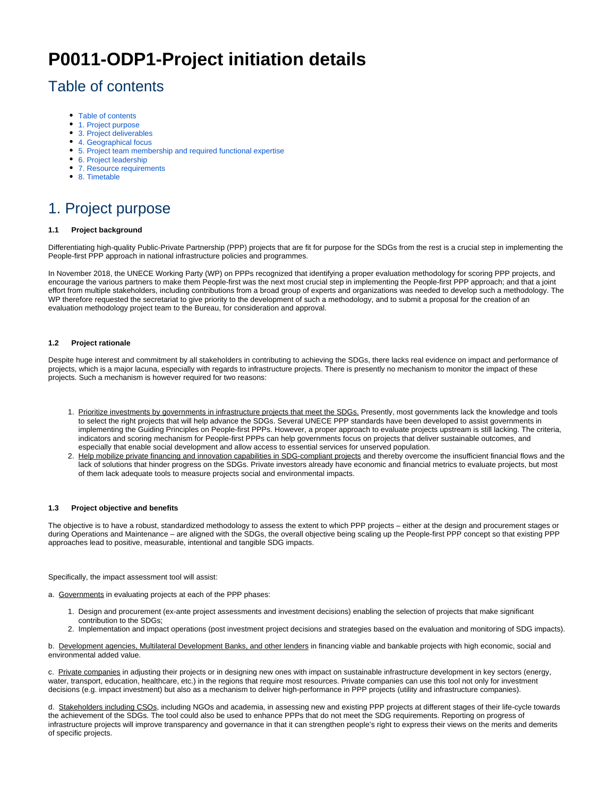# **P0011-ODP1-Project initiation details**

### <span id="page-0-0"></span>Table of contents

- [Table of contents](#page-0-0)
- [1. Project purpose](#page-0-1)
- [3. Project deliverables](#page-1-0)
- [4. Geographical focus](#page-2-0)
- [5. Project team membership and required functional expertise](#page-2-1)
- [6. Project leadership](#page-2-2)
- [7. Resource requirements](#page-2-3)
- [8. Timetable](#page-3-0)

### <span id="page-0-1"></span>1. Project purpose

#### **1.1 Project background**

Differentiating high-quality Public-Private Partnership (PPP) projects that are fit for purpose for the SDGs from the rest is a crucial step in implementing the People-first PPP approach in national infrastructure policies and programmes.

In November 2018, the UNECE Working Party (WP) on PPPs recognized that identifying a proper evaluation methodology for scoring PPP projects, and encourage the various partners to make them People-first was the next most crucial step in implementing the People-first PPP approach; and that a joint effort from multiple stakeholders, including contributions from a broad group of experts and organizations was needed to develop such a methodology. The WP therefore requested the secretariat to give priority to the development of such a methodology, and to submit a proposal for the creation of an evaluation methodology project team to the Bureau, for consideration and approval.

#### **1.2 Project rationale**

Despite huge interest and commitment by all stakeholders in contributing to achieving the SDGs, there lacks real evidence on impact and performance of projects, which is a major lacuna, especially with regards to infrastructure projects. There is presently no mechanism to monitor the impact of these projects. Such a mechanism is however required for two reasons:

- 1. Prioritize investments by governments in infrastructure projects that meet the SDGs. Presently, most governments lack the knowledge and tools to select the right projects that will help advance the SDGs. Several UNECE PPP standards have been developed to assist governments in implementing the Guiding Principles on People-first PPPs. However, a proper approach to evaluate projects upstream is still lacking. The criteria, indicators and scoring mechanism for People-first PPPs can help governments focus on projects that deliver sustainable outcomes, and especially that enable social development and allow access to essential services for unserved population.
- 2. Help mobilize private financing and innovation capabilities in SDG-compliant projects and thereby overcome the insufficient financial flows and the lack of solutions that hinder progress on the SDGs. Private investors already have economic and financial metrics to evaluate projects, but most of them lack adequate tools to measure projects social and environmental impacts.

#### **1.3 Project objective and benefits**

The objective is to have a robust, standardized methodology to assess the extent to which PPP projects – either at the design and procurement stages or during Operations and Maintenance – are aligned with the SDGs, the overall objective being scaling up the People-first PPP concept so that existing PPP approaches lead to positive, measurable, intentional and tangible SDG impacts.

Specifically, the impact assessment tool will assist:

a. Governments in evaluating projects at each of the PPP phases:

- 1. Design and procurement (ex-ante project assessments and investment decisions) enabling the selection of projects that make significant contribution to the SDGs;
- 2. Implementation and impact operations (post investment project decisions and strategies based on the evaluation and monitoring of SDG impacts).

b. Development agencies, Multilateral Development Banks, and other lenders in financing viable and bankable projects with high economic, social and environmental added value.

c. Private companies in adjusting their projects or in designing new ones with impact on sustainable infrastructure development in key sectors (energy, water, transport, education, healthcare, etc.) in the regions that require most resources. Private companies can use this tool not only for investment decisions (e.g. impact investment) but also as a mechanism to deliver high-performance in PPP projects (utility and infrastructure companies).

d. Stakeholders including CSOs, including NGOs and academia, in assessing new and existing PPP projects at different stages of their life-cycle towards the achievement of the SDGs. The tool could also be used to enhance PPPs that do not meet the SDG requirements. Reporting on progress of infrastructure projects will improve transparency and governance in that it can strengthen people's right to express their views on the merits and demerits of specific projects.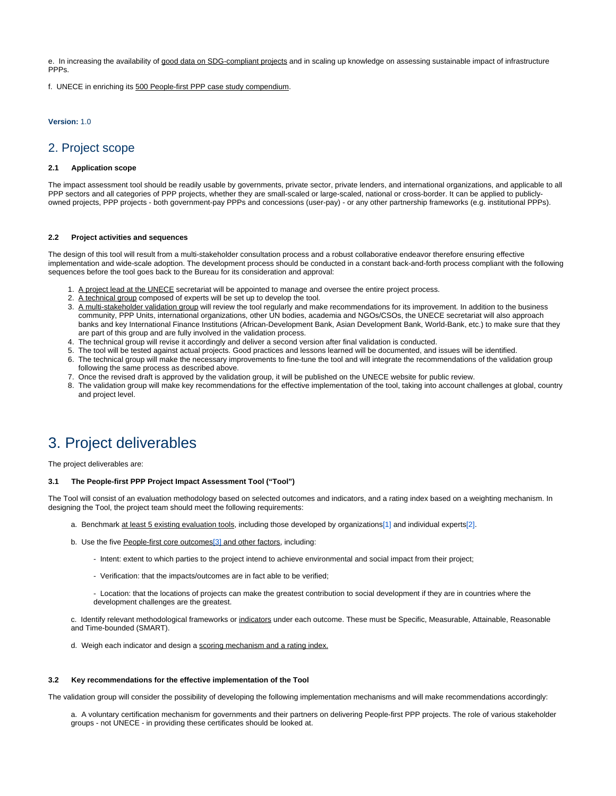e. In increasing the availability of good data on SDG-compliant projects and in scaling up knowledge on assessing sustainable impact of infrastructure PPPs.

f. UNECE in enriching its 500 People-first PPP case study compendium.

#### **Version:** 1.0

#### 2. Project scope

#### **2.1 Application scope**

The impact assessment tool should be readily usable by governments, private sector, private lenders, and international organizations, and applicable to all PPP sectors and all categories of PPP projects, whether they are small-scaled or large-scaled, national or cross-border. It can be applied to publiclyowned projects, PPP projects - both government-pay PPPs and concessions (user-pay) - or any other partnership frameworks (e.g. institutional PPPs).

#### **2.2 Project activities and sequences**

The design of this tool will result from a multi-stakeholder consultation process and a robust collaborative endeavor therefore ensuring effective implementation and wide-scale adoption. The development process should be conducted in a constant back-and-forth process compliant with the following sequences before the tool goes back to the Bureau for its consideration and approval:

- 1. A project lead at the UNECE secretariat will be appointed to manage and oversee the entire project process.
- 2. A technical group composed of experts will be set up to develop the tool.
- 3. A multi-stakeholder validation group will review the tool regularly and make recommendations for its improvement. In addition to the business community, PPP Units, international organizations, other UN bodies, academia and NGOs/CSOs, the UNECE secretariat will also approach banks and key International Finance Institutions (African-Development Bank, Asian Development Bank, World-Bank, etc.) to make sure that they are part of this group and are fully involved in the validation process.
- 4. The technical group will revise it accordingly and deliver a second version after final validation is conducted.
- 5. The tool will be tested against actual projects. Good practices and lessons learned will be documented, and issues will be identified.
- 6. The technical group will make the necessary improvements to fine-tune the tool and will integrate the recommendations of the validation group following the same process as described above.
- 7. Once the revised draft is approved by the validation group, it will be published on the UNECE website for public review.
- 8. The validation group will make key recommendations for the effective implementation of the tool, taking into account challenges at global, country and project level.

### <span id="page-1-0"></span>3. Project deliverables

The project deliverables are:

#### **3.1 The People-first PPP Project Impact Assessment Tool ("Tool")**

<span id="page-1-2"></span><span id="page-1-1"></span>The Tool will consist of an evaluation methodology based on selected outcomes and indicators, and a rating index based on a weighting mechanism. In designing the Tool, the project team should meet the following requirements:

- a. Benchmark at least 5 existing evaluation tools, including those developed by organizations[\[1\]](#page-2-4) and individual experts[\[2\]](#page-2-5).
- b. Use the five People-first core outcomes<sup>[\[3\]](#page-2-6)</sup> and other factors, including:
	- Intent: extent to which parties to the project intend to achieve environmental and social impact from their project;
	- Verification: that the impacts/outcomes are in fact able to be verified;
	- Location: that the locations of projects can make the greatest contribution to social development if they are in countries where the development challenges are the greatest.
- c. Identify relevant methodological frameworks or indicators under each outcome. These must be Specific, Measurable, Attainable, Reasonable and Time-bounded (SMART).
- d. Weigh each indicator and design a scoring mechanism and a rating index.

#### **3.2 Key recommendations for the effective implementation of the Tool**

The validation group will consider the possibility of developing the following implementation mechanisms and will make recommendations accordingly:

a. A voluntary certification mechanism for governments and their partners on delivering People-first PPP projects. The role of various stakeholder groups - not UNECE - in providing these certificates should be looked at.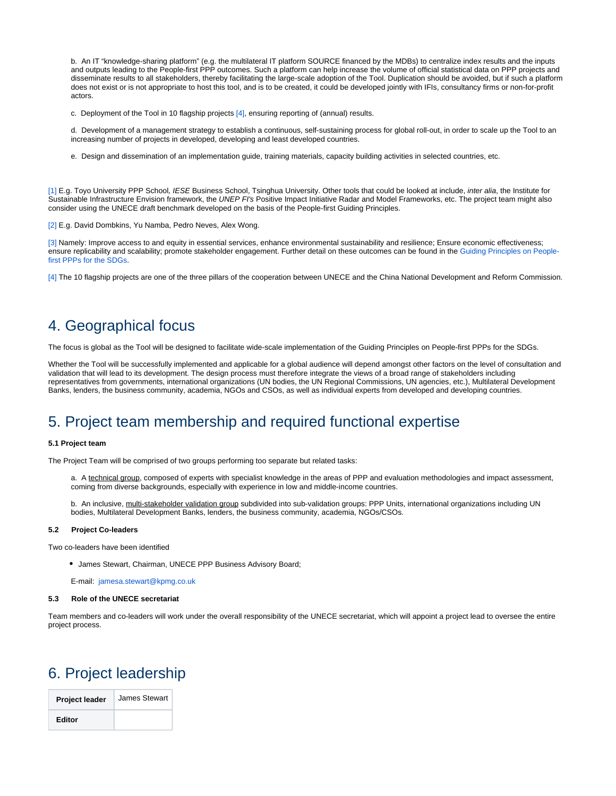b. An IT "knowledge-sharing platform" (e.g. the multilateral IT platform SOURCE financed by the MDBs) to centralize index results and the inputs and outputs leading to the People-first PPP outcomes. Such a platform can help increase the volume of official statistical data on PPP projects and disseminate results to all stakeholders, thereby facilitating the large-scale adoption of the Tool. Duplication should be avoided, but if such a platform does not exist or is not appropriate to host this tool, and is to be created, it could be developed jointly with IFIs, consultancy firms or non-for-profit actors.

<span id="page-2-8"></span>c. Deployment of the Tool in 10 flagship projects [\[4\]](#page-2-7), ensuring reporting of (annual) results.

d. Development of a management strategy to establish a continuous, self-sustaining process for global roll-out, in order to scale up the Tool to an increasing number of projects in developed, developing and least developed countries.

e. Design and dissemination of an implementation guide, training materials, capacity building activities in selected countries, etc.

<span id="page-2-4"></span>[\[1\]](#page-1-1) E.g. Toyo University PPP School, IESE Business School, Tsinghua University. Other tools that could be looked at include, inter alia, the Institute for Sustainable Infrastructure Envision framework, the UNEP FI's Positive Impact Initiative Radar and Model Frameworks, etc. The project team might also consider using the UNECE draft benchmark developed on the basis of the People-first Guiding Principles.

<span id="page-2-5"></span>[\[2\]](#page-1-1) E.g. David Dombkins, Yu Namba, Pedro Neves, Alex Wong.

<span id="page-2-6"></span>[\[3\]](#page-1-2) Namely: Improve access to and equity in essential services, enhance environmental sustainability and resilience; Ensure economic effectiveness; ensure replicability and scalability; promote stakeholder engagement. Further detail on these outcomes can be found in the [Guiding Principles on People](https://www.unece.org/fileadmin/DAM/ceci/documents/2019/CICPPP/ECE_CECI_2019_05-en.pdf)[first PPPs for the SDGs](https://www.unece.org/fileadmin/DAM/ceci/documents/2019/CICPPP/ECE_CECI_2019_05-en.pdf).

<span id="page-2-7"></span>[\[4\]](#page-2-8) The 10 flagship projects are one of the three pillars of the cooperation between UNECE and the China National Development and Reform Commission.

### <span id="page-2-0"></span>4. Geographical focus

The focus is global as the Tool will be designed to facilitate wide-scale implementation of the Guiding Principles on People-first PPPs for the SDGs.

Whether the Tool will be successfully implemented and applicable for a global audience will depend amongst other factors on the level of consultation and validation that will lead to its development. The design process must therefore integrate the views of a broad range of stakeholders including representatives from governments, international organizations (UN bodies, the UN Regional Commissions, UN agencies, etc.), Multilateral Development Banks, lenders, the business community, academia, NGOs and CSOs, as well as individual experts from developed and developing countries.

### <span id="page-2-1"></span>5. Project team membership and required functional expertise

#### **5.1 Project team**

The Project Team will be comprised of two groups performing too separate but related tasks:

a. A technical group, composed of experts with specialist knowledge in the areas of PPP and evaluation methodologies and impact assessment, coming from diverse backgrounds, especially with experience in low and middle-income countries.

b. An inclusive, multi-stakeholder validation group subdivided into sub-validation groups: PPP Units, international organizations including UN bodies, Multilateral Development Banks, lenders, the business community, academia, NGOs/CSOs.

#### **5.2 Project Co-leaders**

Two co-leaders have been identified

James Stewart, Chairman, UNECE PPP Business Advisory Board;

E-mail: [jamesa.stewart@kpmg.co.uk](mailto:jamesa.stewart@kpmg.co.uk)

#### **5.3 Role of the UNECE secretariat**

Team members and co-leaders will work under the overall responsibility of the UNECE secretariat, which will appoint a project lead to oversee the entire project process.

### <span id="page-2-2"></span>6. Project leadership

<span id="page-2-3"></span>

| Project leader | James Stewart |
|----------------|---------------|
| Editor         |               |